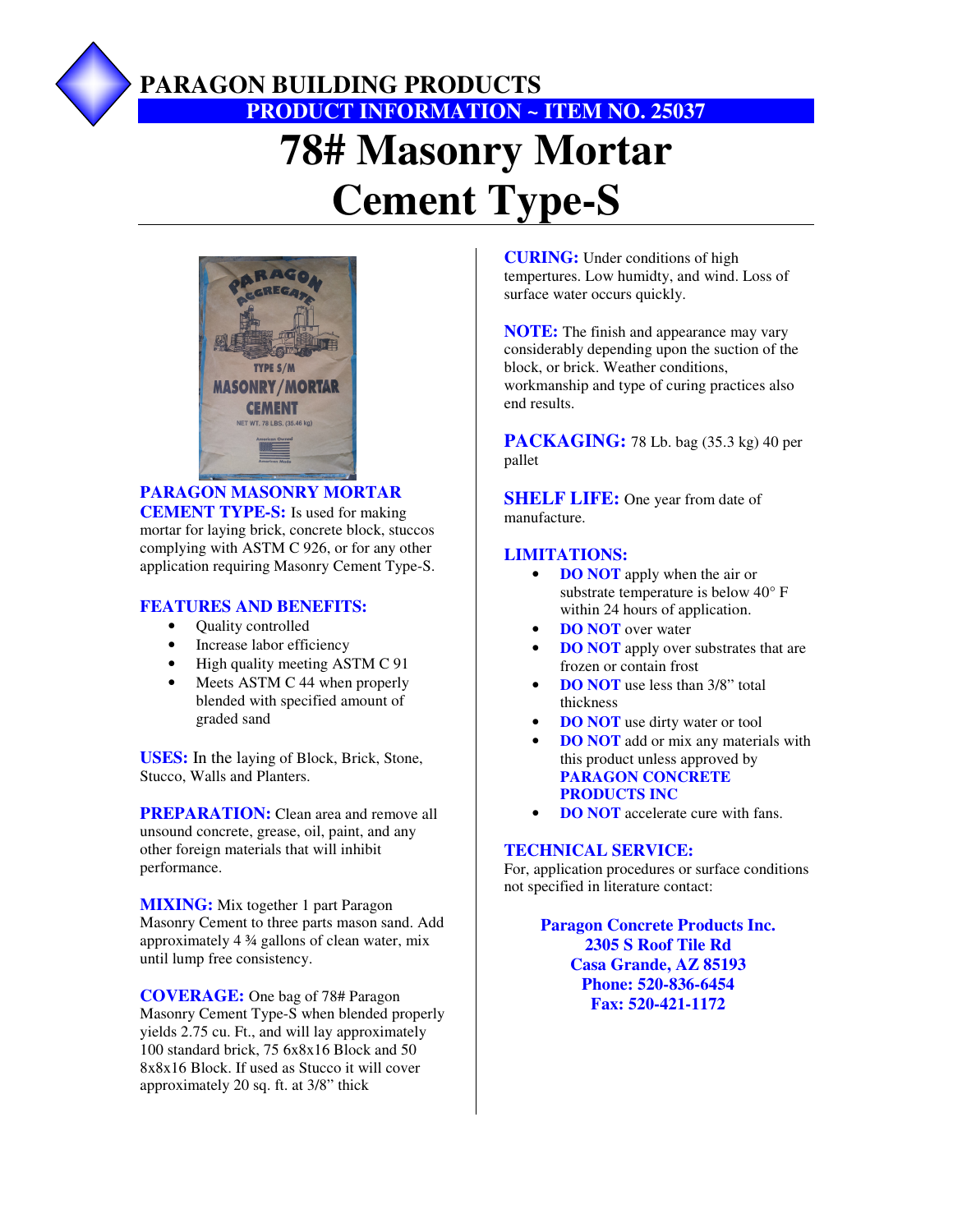

### **PARAGON BUILDING PRODUCTS PRODUCT INFORMATION ~ ITEM NO. 25037**

# **78# Masonry Mortar Cement Type-S**



#### **PARAGON MASONRY MORTAR CEMENT TYPE-S:** Is used for making mortar for laying brick, concrete block, stuccos complying with ASTM C 926, or for any other application requiring Masonry Cement Type-S.

#### **FEATURES AND BENEFITS:**

- Quality controlled
- Increase labor efficiency
- High quality meeting ASTM C 91
- Meets ASTM C 44 when properly blended with specified amount of graded sand

**USES:** In the laying of Block, Brick, Stone, Stucco, Walls and Planters.

**PREPARATION:** Clean area and remove all unsound concrete, grease, oil, paint, and any other foreign materials that will inhibit performance.

**MIXING:** Mix together 1 part Paragon Masonry Cement to three parts mason sand. Add approximately 4 ¾ gallons of clean water, mix until lump free consistency.

**COVERAGE:** One bag of 78# Paragon Masonry Cement Type-S when blended properly yields 2.75 cu. Ft., and will lay approximately 100 standard brick, 75 6x8x16 Block and 50 8x8x16 Block. If used as Stucco it will cover approximately 20 sq. ft. at 3/8" thick

**CURING:** Under conditions of high tempertures. Low humidty, and wind. Loss of surface water occurs quickly.

**NOTE:** The finish and appearance may vary considerably depending upon the suction of the block, or brick. Weather conditions, workmanship and type of curing practices also end results.

**PACKAGING:** 78 Lb. bag (35.3 kg) 40 per pallet

**SHELF LIFE:** One year from date of manufacture.

#### **LIMITATIONS:**

- **DO NOT** apply when the air or substrate temperature is below 40° F within 24 hours of application.
- **DO NOT** over water
- **DO NOT** apply over substrates that are frozen or contain frost
- **DO NOT** use less than 3/8" total thickness
- **DO NOT** use dirty water or tool
- **DO NOT** add or mix any materials with this product unless approved by **PARAGON CONCRETE PRODUCTS INC**
- **DO NOT** accelerate cure with fans.

#### **TECHNICAL SERVICE:**

For, application procedures or surface conditions not specified in literature contact:

> **Paragon Concrete Products Inc. 2305 S Roof Tile Rd Casa Grande, AZ 85193 Phone: 520-836-6454 Fax: 520-421-1172**